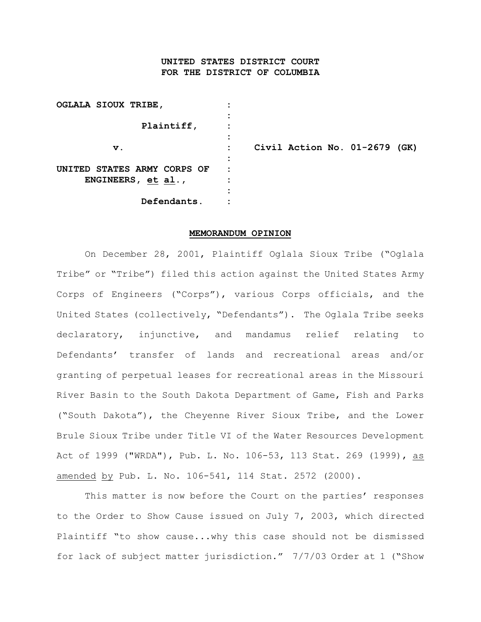## **UNITED STATES DISTRICT COURT FOR THE DISTRICT OF COLUMBIA**

| OGLALA SIOUX TRIBE, |               |                             |  |
|---------------------|---------------|-----------------------------|--|
|                     |               |                             |  |
| Plaintiff,          |               |                             |  |
|                     |               |                             |  |
|                     | $\mathbf v$ . |                             |  |
|                     |               |                             |  |
|                     |               | UNITED STATES ARMY CORPS OF |  |
| ENGINEERS, et al.,  |               |                             |  |
|                     |               |                             |  |
| Defendants.         |               |                             |  |

**v. : Civil Action No. 01-2679 (GK)**

#### **MEMORANDUM OPINION**

On December 28, 2001, Plaintiff Oglala Sioux Tribe ("Oglala Tribe" or "Tribe") filed this action against the United States Army Corps of Engineers ("Corps"), various Corps officials, and the United States (collectively, "Defendants"). The Oglala Tribe seeks declaratory, injunctive, and mandamus relief relating to Defendants' transfer of lands and recreational areas and/or granting of perpetual leases for recreational areas in the Missouri River Basin to the South Dakota Department of Game, Fish and Parks ("South Dakota"), the Cheyenne River Sioux Tribe, and the Lower Brule Sioux Tribe under Title VI of the Water Resources Development Act of 1999 ("WRDA"), Pub. L. No. 106-53, 113 Stat. 269 (1999), as amended by Pub. L. No. 106-541, 114 Stat. 2572 (2000).

This matter is now before the Court on the parties' responses to the Order to Show Cause issued on July 7, 2003, which directed Plaintiff "to show cause...why this case should not be dismissed for lack of subject matter jurisdiction." 7/7/03 Order at 1 ("Show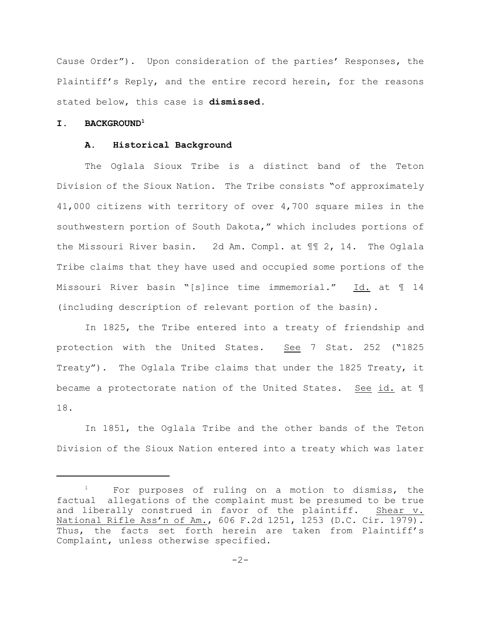Cause Order"). Upon consideration of the parties' Responses, the Plaintiff's Reply, and the entire record herein, for the reasons stated below, this case is **dismissed**.

### **I. BACKGROUND<sup>1</sup>**

#### **A. Historical Background**

The Oglala Sioux Tribe is a distinct band of the Teton Division of the Sioux Nation. The Tribe consists "of approximately 41,000 citizens with territory of over 4,700 square miles in the southwestern portion of South Dakota," which includes portions of the Missouri River basin. 2d Am. Compl. at ¶¶ 2, 14. The Oglala Tribe claims that they have used and occupied some portions of the Missouri River basin "[s]ince time immemorial." Id. at 1 14 (including description of relevant portion of the basin).

In 1825, the Tribe entered into a treaty of friendship and protection with the United States. See 7 Stat. 252 ("1825 Treaty"). The Oglala Tribe claims that under the 1825 Treaty, it became a protectorate nation of the United States. See id. at 1 18.

In 1851, the Oglala Tribe and the other bands of the Teton Division of the Sioux Nation entered into a treaty which was later

 $1$  For purposes of ruling on a motion to dismiss, the factual allegations of the complaint must be presumed to be true and liberally construed in favor of the plaintiff. Shear v. National Rifle Ass'n of Am., 606 F.2d 1251, 1253 (D.C. Cir. 1979). Thus, the facts set forth herein are taken from Plaintiff's Complaint, unless otherwise specified.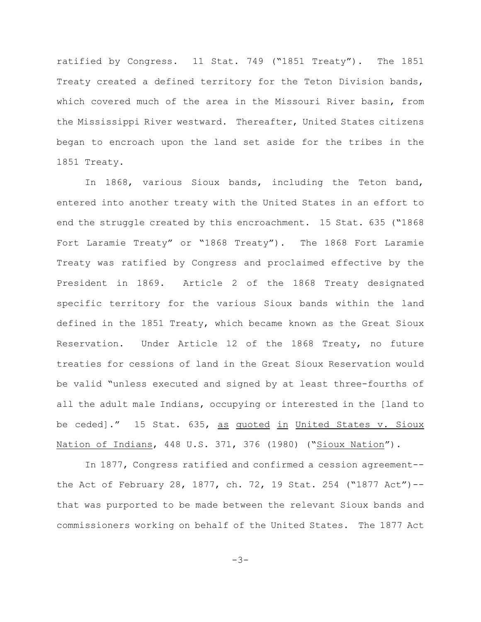ratified by Congress. 11 Stat. 749 ("1851 Treaty"). The 1851 Treaty created a defined territory for the Teton Division bands, which covered much of the area in the Missouri River basin, from the Mississippi River westward. Thereafter, United States citizens began to encroach upon the land set aside for the tribes in the 1851 Treaty.

In 1868, various Sioux bands, including the Teton band, entered into another treaty with the United States in an effort to end the struggle created by this encroachment. 15 Stat. 635 ("1868 Fort Laramie Treaty" or "1868 Treaty"). The 1868 Fort Laramie Treaty was ratified by Congress and proclaimed effective by the President in 1869. Article 2 of the 1868 Treaty designated specific territory for the various Sioux bands within the land defined in the 1851 Treaty, which became known as the Great Sioux Reservation. Under Article 12 of the 1868 Treaty, no future treaties for cessions of land in the Great Sioux Reservation would be valid "unless executed and signed by at least three-fourths of all the adult male Indians, occupying or interested in the [land to be ceded]." 15 Stat. 635, as quoted in United States v. Sioux Nation of Indians, 448 U.S. 371, 376 (1980) ("Sioux Nation").

In 1877, Congress ratified and confirmed a cession agreement- the Act of February 28, 1877, ch. 72, 19 Stat. 254 ("1877 Act")- that was purported to be made between the relevant Sioux bands and commissioners working on behalf of the United States. The 1877 Act

 $-3-$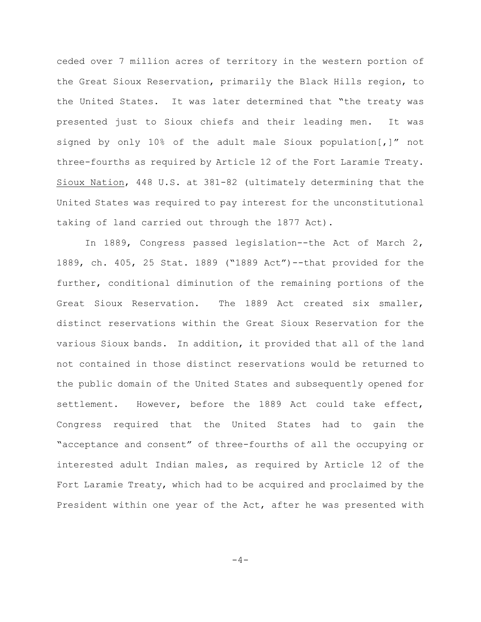ceded over 7 million acres of territory in the western portion of the Great Sioux Reservation, primarily the Black Hills region, to the United States. It was later determined that "the treaty was presented just to Sioux chiefs and their leading men. It was signed by only 10% of the adult male Sioux population[,]" not three-fourths as required by Article 12 of the Fort Laramie Treaty. Sioux Nation, 448 U.S. at 381-82 (ultimately determining that the United States was required to pay interest for the unconstitutional taking of land carried out through the 1877 Act).

In 1889, Congress passed legislation--the Act of March 2, 1889, ch. 405, 25 Stat. 1889 ("1889 Act")--that provided for the further, conditional diminution of the remaining portions of the Great Sioux Reservation. The 1889 Act created six smaller, distinct reservations within the Great Sioux Reservation for the various Sioux bands. In addition, it provided that all of the land not contained in those distinct reservations would be returned to the public domain of the United States and subsequently opened for settlement. However, before the 1889 Act could take effect, Congress required that the United States had to gain the "acceptance and consent" of three-fourths of all the occupying or interested adult Indian males, as required by Article 12 of the Fort Laramie Treaty, which had to be acquired and proclaimed by the President within one year of the Act, after he was presented with

 $-4-$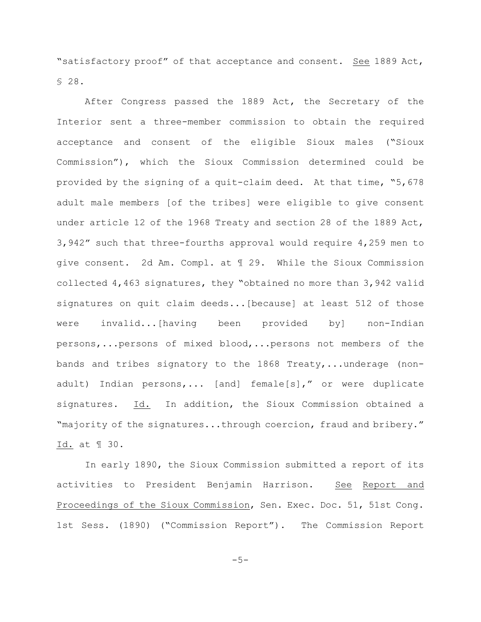"satisfactory proof" of that acceptance and consent. See 1889 Act, § 28.

After Congress passed the 1889 Act, the Secretary of the Interior sent a three-member commission to obtain the required acceptance and consent of the eligible Sioux males ("Sioux Commission"), which the Sioux Commission determined could be provided by the signing of a quit-claim deed. At that time, "5,678 adult male members [of the tribes] were eligible to give consent under article 12 of the 1968 Treaty and section 28 of the 1889 Act, 3,942" such that three-fourths approval would require 4,259 men to give consent. 2d Am. Compl. at ¶ 29. While the Sioux Commission collected 4,463 signatures, they "obtained no more than 3,942 valid signatures on quit claim deeds...[because] at least 512 of those were invalid...[having been provided by] non-Indian persons,...persons of mixed blood,...persons not members of the bands and tribes signatory to the 1868 Treaty,...underage (nonadult) Indian persons,... [and] female[s]," or were duplicate signatures. Id. In addition, the Sioux Commission obtained a "majority of the signatures...through coercion, fraud and bribery." Id. at ¶ 30.

In early 1890, the Sioux Commission submitted a report of its activities to President Benjamin Harrison. See Report and Proceedings of the Sioux Commission, Sen. Exec. Doc. 51, 51st Cong. 1st Sess. (1890) ("Commission Report"). The Commission Report

-5-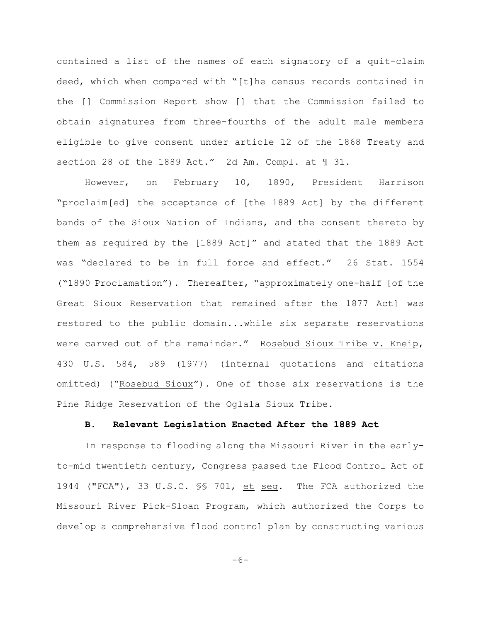contained a list of the names of each signatory of a quit-claim deed, which when compared with "[t]he census records contained in the [] Commission Report show [] that the Commission failed to obtain signatures from three-fourths of the adult male members eligible to give consent under article 12 of the 1868 Treaty and section 28 of the 1889 Act." 2d Am. Compl. at ¶ 31.

However, on February 10, 1890, President Harrison "proclaim[ed] the acceptance of [the 1889 Act] by the different bands of the Sioux Nation of Indians, and the consent thereto by them as required by the [1889 Act]" and stated that the 1889 Act was "declared to be in full force and effect." 26 Stat. 1554 ("1890 Proclamation"). Thereafter, "approximately one-half [of the Great Sioux Reservation that remained after the 1877 Act] was restored to the public domain...while six separate reservations were carved out of the remainder." Rosebud Sioux Tribe v. Kneip, 430 U.S. 584, 589 (1977) (internal quotations and citations omitted) ("Rosebud Sioux"). One of those six reservations is the Pine Ridge Reservation of the Oglala Sioux Tribe.

#### **B. Relevant Legislation Enacted After the 1889 Act**

In response to flooding along the Missouri River in the earlyto-mid twentieth century, Congress passed the Flood Control Act of 1944 ("FCA"), 33 U.S.C. §§ 701, et seq. The FCA authorized the Missouri River Pick-Sloan Program, which authorized the Corps to develop a comprehensive flood control plan by constructing various

 $-6-$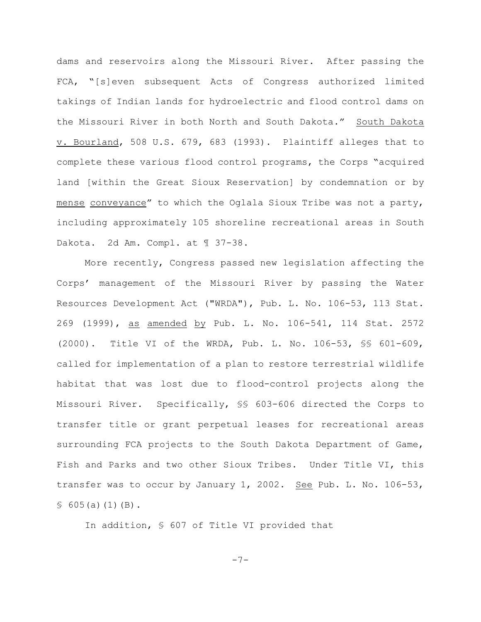dams and reservoirs along the Missouri River. After passing the FCA, "[s]even subsequent Acts of Congress authorized limited takings of Indian lands for hydroelectric and flood control dams on the Missouri River in both North and South Dakota." South Dakota v. Bourland, 508 U.S. 679, 683 (1993). Plaintiff alleges that to complete these various flood control programs, the Corps "acquired land [within the Great Sioux Reservation] by condemnation or by mense conveyance" to which the Oglala Sioux Tribe was not a party, including approximately 105 shoreline recreational areas in South Dakota. 2d Am. Compl. at 1 37-38.

More recently, Congress passed new legislation affecting the Corps' management of the Missouri River by passing the Water Resources Development Act ("WRDA"), Pub. L. No. 106-53, 113 Stat. 269 (1999), as amended by Pub. L. No. 106-541, 114 Stat. 2572 (2000). Title VI of the WRDA, Pub. L. No. 106-53, §§ 601-609, called for implementation of a plan to restore terrestrial wildlife habitat that was lost due to flood-control projects along the Missouri River. Specifically, §§ 603-606 directed the Corps to transfer title or grant perpetual leases for recreational areas surrounding FCA projects to the South Dakota Department of Game, Fish and Parks and two other Sioux Tribes. Under Title VI, this transfer was to occur by January 1, 2002. See Pub. L. No. 106-53,  $$605(a)(1)(B).$ 

In addition, § 607 of Title VI provided that

-7-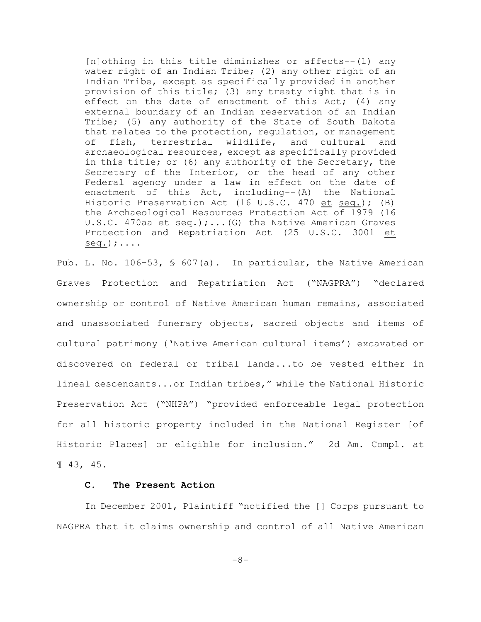[n]othing in this title diminishes or affects--(1) any water right of an Indian Tribe; (2) any other right of an Indian Tribe, except as specifically provided in another provision of this title; (3) any treaty right that is in effect on the date of enactment of this Act;  $(4)$  any external boundary of an Indian reservation of an Indian Tribe; (5) any authority of the State of South Dakota that relates to the protection, regulation, or management of fish, terrestrial wildlife, and cultural and archaeological resources, except as specifically provided in this title; or (6) any authority of the Secretary, the Secretary of the Interior, or the head of any other Federal agency under a law in effect on the date of enactment of this Act, including--(A) the National Historic Preservation Act (16 U.S.C. 470 et seq.); (B) the Archaeological Resources Protection Act of 1979 (16 U.S.C. 470aa et seq.);...(G) the Native American Graves Protection and Repatriation Act (25 U.S.C. 3001 et  $seq.$ );....

Pub. L. No. 106-53, § 607(a). In particular, the Native American Graves Protection and Repatriation Act ("NAGPRA") "declared ownership or control of Native American human remains, associated and unassociated funerary objects, sacred objects and items of cultural patrimony ('Native American cultural items') excavated or discovered on federal or tribal lands...to be vested either in lineal descendants...or Indian tribes," while the National Historic Preservation Act ("NHPA") "provided enforceable legal protection for all historic property included in the National Register [of Historic Places] or eligible for inclusion." 2d Am. Compl. at ¶ 43, 45.

#### **C. The Present Action**

In December 2001, Plaintiff "notified the [] Corps pursuant to NAGPRA that it claims ownership and control of all Native American

-8-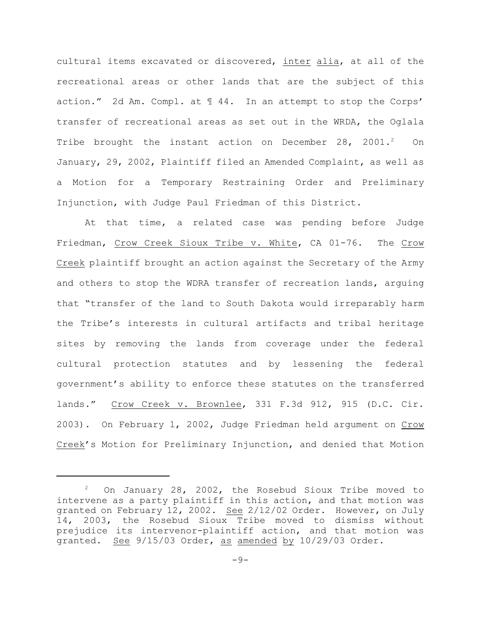cultural items excavated or discovered, inter alia, at all of the recreational areas or other lands that are the subject of this action." 2d Am. Compl. at ¶ 44. In an attempt to stop the Corps' transfer of recreational areas as set out in the WRDA, the Oglala Tribe brought the instant action on December 28, 2001.<sup>2</sup> On January, 29, 2002, Plaintiff filed an Amended Complaint, as well as a Motion for a Temporary Restraining Order and Preliminary Injunction, with Judge Paul Friedman of this District.

At that time, a related case was pending before Judge Friedman, Crow Creek Sioux Tribe v. White, CA 01-76. The Crow Creek plaintiff brought an action against the Secretary of the Army and others to stop the WDRA transfer of recreation lands, arguing that "transfer of the land to South Dakota would irreparably harm the Tribe's interests in cultural artifacts and tribal heritage sites by removing the lands from coverage under the federal cultural protection statutes and by lessening the federal government's ability to enforce these statutes on the transferred lands." Crow Creek v. Brownlee, 331 F.3d 912, 915 (D.C. Cir. 2003). On February 1, 2002, Judge Friedman held argument on Crow Creek's Motion for Preliminary Injunction, and denied that Motion

 $2$  On January 28, 2002, the Rosebud Sioux Tribe moved to intervene as a party plaintiff in this action, and that motion was granted on February 12, 2002. See 2/12/02 Order. However, on July 14, 2003, the Rosebud Sioux Tribe moved to dismiss without prejudice its intervenor-plaintiff action, and that motion was granted. See 9/15/03 Order, as amended by 10/29/03 Order.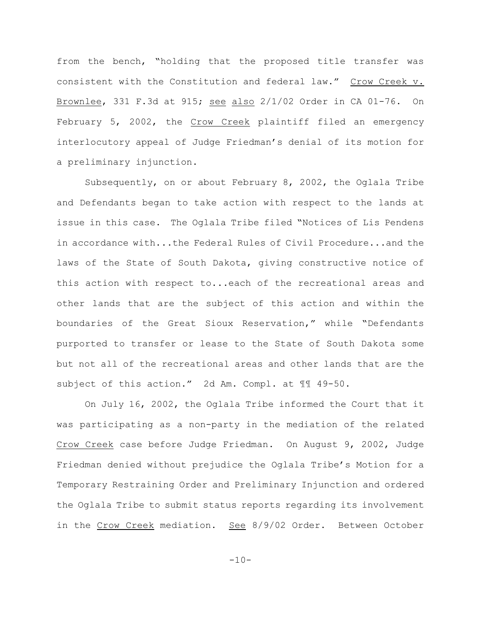from the bench, "holding that the proposed title transfer was consistent with the Constitution and federal law." Crow Creek v. Brownlee, 331 F.3d at 915; see also 2/1/02 Order in CA 01-76. On February 5, 2002, the Crow Creek plaintiff filed an emergency interlocutory appeal of Judge Friedman's denial of its motion for a preliminary injunction.

Subsequently, on or about February 8, 2002, the Oglala Tribe and Defendants began to take action with respect to the lands at issue in this case. The Oglala Tribe filed "Notices of Lis Pendens in accordance with...the Federal Rules of Civil Procedure...and the laws of the State of South Dakota, giving constructive notice of this action with respect to...each of the recreational areas and other lands that are the subject of this action and within the boundaries of the Great Sioux Reservation," while "Defendants purported to transfer or lease to the State of South Dakota some but not all of the recreational areas and other lands that are the subject of this action." 2d Am. Compl. at ¶¶ 49-50.

On July 16, 2002, the Oglala Tribe informed the Court that it was participating as a non-party in the mediation of the related Crow Creek case before Judge Friedman. On August 9, 2002, Judge Friedman denied without prejudice the Oglala Tribe's Motion for a Temporary Restraining Order and Preliminary Injunction and ordered the Oglala Tribe to submit status reports regarding its involvement in the Crow Creek mediation. See 8/9/02 Order. Between October

 $-10-$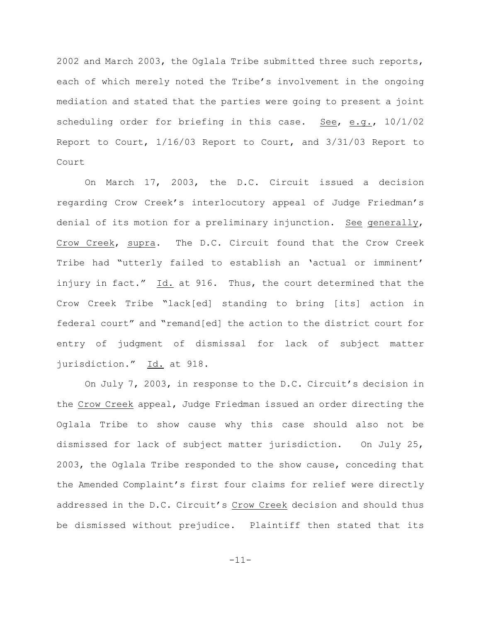2002 and March 2003, the Oglala Tribe submitted three such reports, each of which merely noted the Tribe's involvement in the ongoing mediation and stated that the parties were going to present a joint scheduling order for briefing in this case. See, e.g.,  $10/1/02$ Report to Court, 1/16/03 Report to Court, and 3/31/03 Report to Court

On March 17, 2003, the D.C. Circuit issued a decision regarding Crow Creek's interlocutory appeal of Judge Friedman's denial of its motion for a preliminary injunction. See generally, Crow Creek, supra. The D.C. Circuit found that the Crow Creek Tribe had "utterly failed to establish an 'actual or imminent' injury in fact." Id. at 916. Thus, the court determined that the Crow Creek Tribe "lack[ed] standing to bring [its] action in federal court" and "remand[ed] the action to the district court for entry of judgment of dismissal for lack of subject matter jurisdiction." Id. at 918.

On July 7, 2003, in response to the D.C. Circuit's decision in the Crow Creek appeal, Judge Friedman issued an order directing the Oglala Tribe to show cause why this case should also not be dismissed for lack of subject matter jurisdiction. On July 25, 2003, the Oglala Tribe responded to the show cause, conceding that the Amended Complaint's first four claims for relief were directly addressed in the D.C. Circuit's Crow Creek decision and should thus be dismissed without prejudice. Plaintiff then stated that its

-11-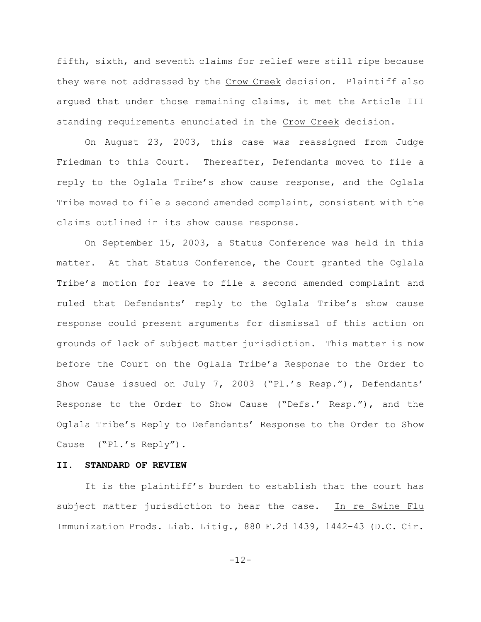fifth, sixth, and seventh claims for relief were still ripe because they were not addressed by the Crow Creek decision. Plaintiff also argued that under those remaining claims, it met the Article III standing requirements enunciated in the Crow Creek decision.

On August 23, 2003, this case was reassigned from Judge Friedman to this Court. Thereafter, Defendants moved to file a reply to the Oglala Tribe's show cause response, and the Oglala Tribe moved to file a second amended complaint, consistent with the claims outlined in its show cause response.

On September 15, 2003, a Status Conference was held in this matter. At that Status Conference, the Court granted the Oglala Tribe's motion for leave to file a second amended complaint and ruled that Defendants' reply to the Oglala Tribe's show cause response could present arguments for dismissal of this action on grounds of lack of subject matter jurisdiction. This matter is now before the Court on the Oglala Tribe's Response to the Order to Show Cause issued on July 7, 2003 ("Pl.'s Resp."), Defendants' Response to the Order to Show Cause ("Defs.' Resp."), and the Oglala Tribe's Reply to Defendants' Response to the Order to Show Cause ("Pl.'s Reply").

#### **II. STANDARD OF REVIEW**

It is the plaintiff's burden to establish that the court has subject matter jurisdiction to hear the case. In re Swine Flu Immunization Prods. Liab. Litig., 880 F.2d 1439, 1442-43 (D.C. Cir.

-12-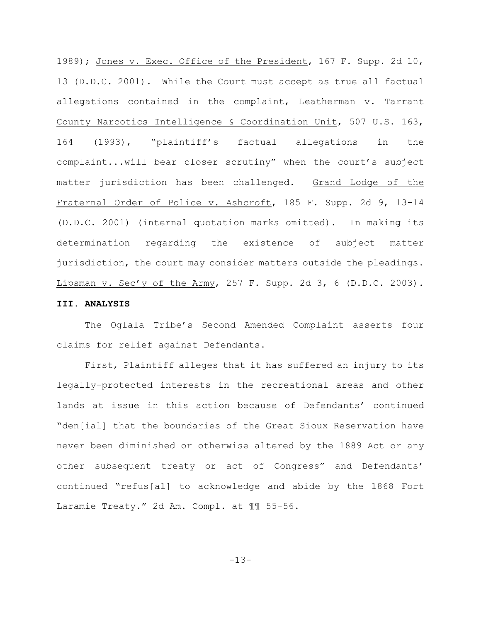1989); Jones v. Exec. Office of the President, 167 F. Supp. 2d 10, 13 (D.D.C. 2001). While the Court must accept as true all factual allegations contained in the complaint, Leatherman v. Tarrant County Narcotics Intelligence & Coordination Unit, 507 U.S. 163, 164 (1993), "plaintiff's factual allegations in the complaint...will bear closer scrutiny" when the court's subject matter jurisdiction has been challenged. Grand Lodge of the Fraternal Order of Police v. Ashcroft, 185 F. Supp. 2d 9, 13-14 (D.D.C. 2001) (internal quotation marks omitted). In making its determination regarding the existence of subject matter jurisdiction, the court may consider matters outside the pleadings. Lipsman v. Sec'y of the Army, 257 F. Supp. 2d 3, 6  $(D.D.C. 2003)$ .

# **III. ANALYSIS**

The Oglala Tribe's Second Amended Complaint asserts four claims for relief against Defendants.

First, Plaintiff alleges that it has suffered an injury to its legally-protected interests in the recreational areas and other lands at issue in this action because of Defendants' continued "den[ial] that the boundaries of the Great Sioux Reservation have never been diminished or otherwise altered by the 1889 Act or any other subsequent treaty or act of Congress" and Defendants' continued "refus[al] to acknowledge and abide by the 1868 Fort Laramie Treaty." 2d Am. Compl. at 11 55-56.

-13-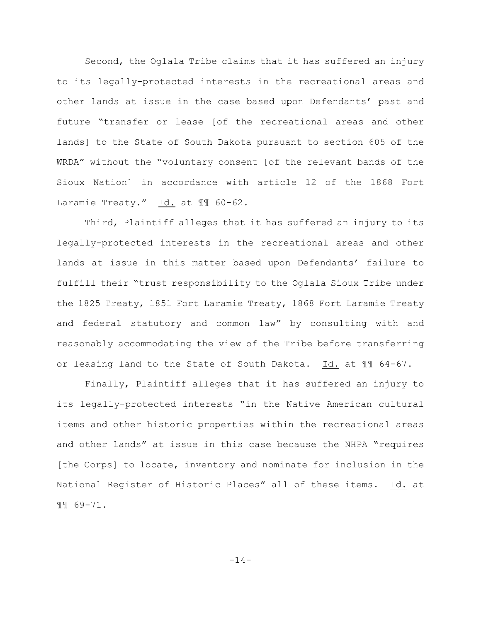Second, the Oglala Tribe claims that it has suffered an injury to its legally-protected interests in the recreational areas and other lands at issue in the case based upon Defendants' past and future "transfer or lease [of the recreational areas and other lands] to the State of South Dakota pursuant to section 605 of the WRDA" without the "voluntary consent [of the relevant bands of the Sioux Nation] in accordance with article 12 of the 1868 Fort Laramie Treaty." Id. at 11 60-62.

Third, Plaintiff alleges that it has suffered an injury to its legally-protected interests in the recreational areas and other lands at issue in this matter based upon Defendants' failure to fulfill their "trust responsibility to the Oglala Sioux Tribe under the 1825 Treaty, 1851 Fort Laramie Treaty, 1868 Fort Laramie Treaty and federal statutory and common law" by consulting with and reasonably accommodating the view of the Tribe before transferring or leasing land to the State of South Dakota. Id. at ¶¶ 64-67.

Finally, Plaintiff alleges that it has suffered an injury to its legally-protected interests "in the Native American cultural items and other historic properties within the recreational areas and other lands" at issue in this case because the NHPA "requires [the Corps] to locate, inventory and nominate for inclusion in the National Register of Historic Places" all of these items. Id. at ¶¶ 69-71.

-14-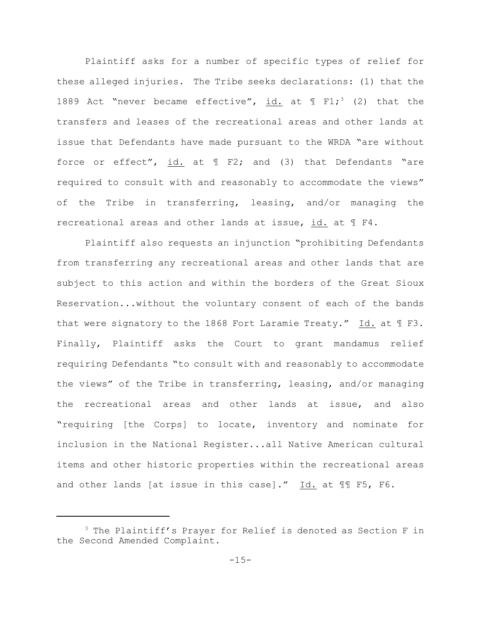Plaintiff asks for a number of specific types of relief for these alleged injuries. The Tribe seeks declarations: (1) that the 1889 Act "never became effective", id. at  $\text{I F1}$ ; (2) that the transfers and leases of the recreational areas and other lands at issue that Defendants have made pursuant to the WRDA "are without force or effect", id. at  $\parallel$  F2; and (3) that Defendants "are required to consult with and reasonably to accommodate the views" of the Tribe in transferring, leasing, and/or managing the recreational areas and other lands at issue, id. at ¶ F4.

Plaintiff also requests an injunction "prohibiting Defendants from transferring any recreational areas and other lands that are subject to this action and within the borders of the Great Sioux Reservation...without the voluntary consent of each of the bands that were signatory to the 1868 Fort Laramie Treaty." Id. at ¶ F3. Finally, Plaintiff asks the Court to grant mandamus relief requiring Defendants "to consult with and reasonably to accommodate the views" of the Tribe in transferring, leasing, and/or managing the recreational areas and other lands at issue, and also "requiring [the Corps] to locate, inventory and nominate for inclusion in the National Register...all Native American cultural items and other historic properties within the recreational areas and other lands [at issue in this case]." Id. at ¶¶ F5, F6.

 $3$  The Plaintiff's Prayer for Relief is denoted as Section F in the Second Amended Complaint.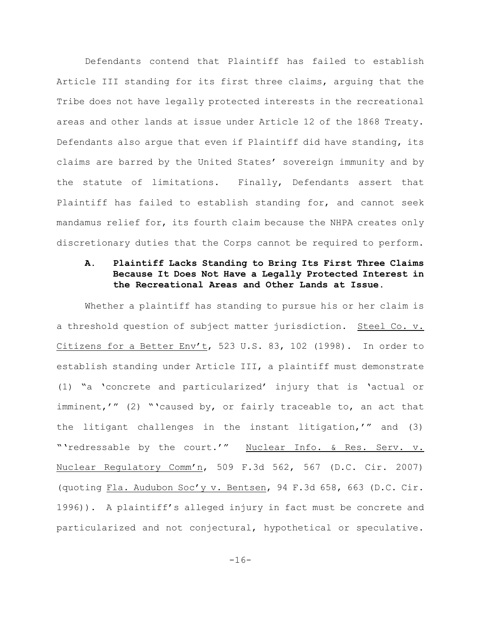Defendants contend that Plaintiff has failed to establish Article III standing for its first three claims, arguing that the Tribe does not have legally protected interests in the recreational areas and other lands at issue under Article 12 of the 1868 Treaty. Defendants also argue that even if Plaintiff did have standing, its claims are barred by the United States' sovereign immunity and by the statute of limitations. Finally, Defendants assert that Plaintiff has failed to establish standing for, and cannot seek mandamus relief for, its fourth claim because the NHPA creates only discretionary duties that the Corps cannot be required to perform.

## **A. Plaintiff Lacks Standing to Bring Its First Three Claims Because It Does Not Have a Legally Protected Interest in the Recreational Areas and Other Lands at Issue.**

Whether a plaintiff has standing to pursue his or her claim is a threshold question of subject matter jurisdiction. Steel Co. v. Citizens for a Better Env't, 523 U.S. 83, 102 (1998). In order to establish standing under Article III, a plaintiff must demonstrate (1) "a 'concrete and particularized' injury that is 'actual or imminent,'" (2) "'caused by, or fairly traceable to, an act that the litigant challenges in the instant litigation,'" and (3) "'redressable by the court.'" Nuclear Info. & Res. Serv. v. Nuclear Regulatory Comm'n, 509 F.3d 562, 567 (D.C. Cir. 2007) (quoting Fla. Audubon Soc'y v. Bentsen, 94 F.3d 658, 663 (D.C. Cir. 1996)). A plaintiff's alleged injury in fact must be concrete and particularized and not conjectural, hypothetical or speculative.

-16-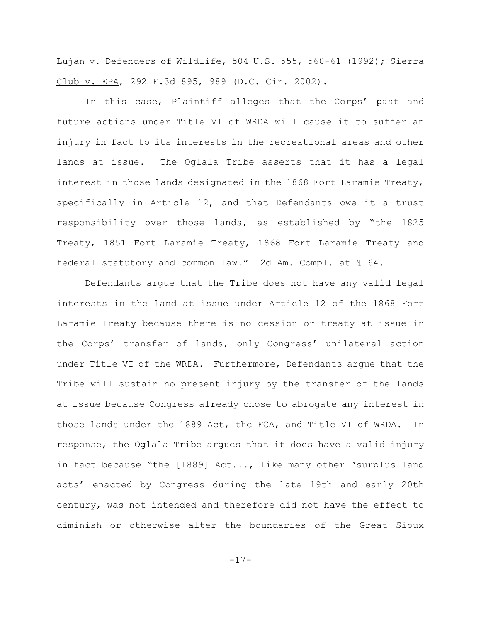Lujan v. Defenders of Wildlife, 504 U.S. 555, 560-61 (1992); Sierra Club v. EPA, 292 F.3d 895, 989 (D.C. Cir. 2002).

In this case, Plaintiff alleges that the Corps' past and future actions under Title VI of WRDA will cause it to suffer an injury in fact to its interests in the recreational areas and other lands at issue. The Oglala Tribe asserts that it has a legal interest in those lands designated in the 1868 Fort Laramie Treaty, specifically in Article 12, and that Defendants owe it a trust responsibility over those lands, as established by "the 1825 Treaty, 1851 Fort Laramie Treaty, 1868 Fort Laramie Treaty and federal statutory and common law." 2d Am. Compl. at ¶ 64.

Defendants argue that the Tribe does not have any valid legal interests in the land at issue under Article 12 of the 1868 Fort Laramie Treaty because there is no cession or treaty at issue in the Corps' transfer of lands, only Congress' unilateral action under Title VI of the WRDA. Furthermore, Defendants argue that the Tribe will sustain no present injury by the transfer of the lands at issue because Congress already chose to abrogate any interest in those lands under the 1889 Act, the FCA, and Title VI of WRDA. In response, the Oglala Tribe argues that it does have a valid injury in fact because "the [1889] Act..., like many other 'surplus land acts' enacted by Congress during the late 19th and early 20th century, was not intended and therefore did not have the effect to diminish or otherwise alter the boundaries of the Great Sioux

-17-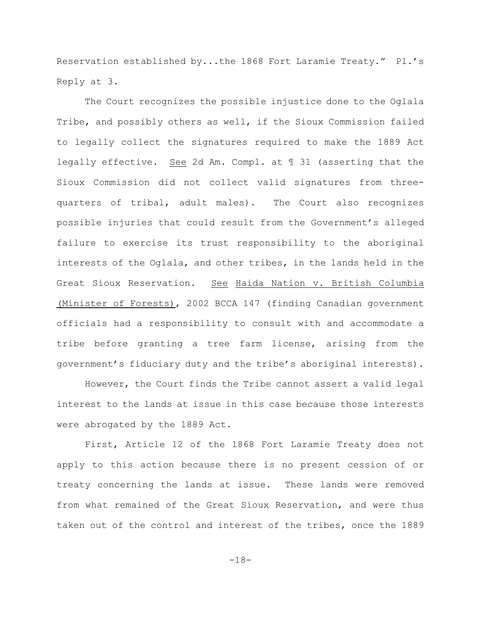Reservation established by...the 1868 Fort Laramie Treaty." Pl.'s Reply at 3.

The Court recognizes the possible injustice done to the Oglala Tribe, and possibly others as well, if the Sioux Commission failed to legally collect the signatures required to make the 1889 Act legally effective. See 2d Am. Compl. at ¶ 31 (asserting that the Sioux Commission did not collect valid signatures from threequarters of tribal, adult males). The Court also recognizes possible injuries that could result from the Government's alleged failure to exercise its trust responsibility to the aboriginal interests of the Oglala, and other tribes, in the lands held in the Great Sioux Reservation. See Haida Nation v. British Columbia (Minister of Forests), 2002 BCCA 147 (finding Canadian government officials had a responsibility to consult with and accommodate a tribe before granting a tree farm license, arising from the government's fiduciary duty and the tribe's aboriginal interests).

However, the Court finds the Tribe cannot assert a valid legal interest to the lands at issue in this case because those interests were abrogated by the 1889 Act.

First, Article 12 of the 1868 Fort Laramie Treaty does not apply to this action because there is no present cession of or treaty concerning the lands at issue. These lands were removed from what remained of the Great Sioux Reservation, and were thus taken out of the control and interest of the tribes, once the 1889

-18-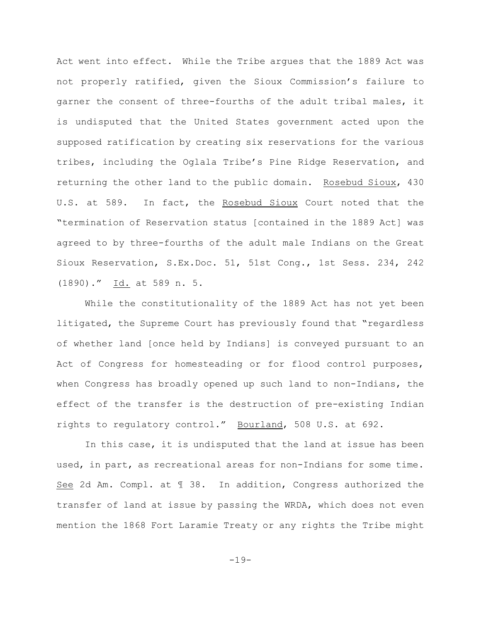Act went into effect. While the Tribe argues that the 1889 Act was not properly ratified, given the Sioux Commission's failure to garner the consent of three-fourths of the adult tribal males, it is undisputed that the United States government acted upon the supposed ratification by creating six reservations for the various tribes, including the Oglala Tribe's Pine Ridge Reservation, and returning the other land to the public domain. Rosebud Sioux, 430 U.S. at 589. In fact, the Rosebud Sioux Court noted that the "termination of Reservation status [contained in the 1889 Act] was agreed to by three-fourths of the adult male Indians on the Great Sioux Reservation, S.Ex.Doc. 51, 51st Cong., 1st Sess. 234, 242 (1890)." Id. at 589 n. 5.

While the constitutionality of the 1889 Act has not yet been litigated, the Supreme Court has previously found that "regardless of whether land [once held by Indians] is conveyed pursuant to an Act of Congress for homesteading or for flood control purposes, when Congress has broadly opened up such land to non-Indians, the effect of the transfer is the destruction of pre-existing Indian rights to regulatory control." Bourland, 508 U.S. at 692.

In this case, it is undisputed that the land at issue has been used, in part, as recreational areas for non-Indians for some time. See 2d Am. Compl. at ¶ 38. In addition, Congress authorized the transfer of land at issue by passing the WRDA, which does not even mention the 1868 Fort Laramie Treaty or any rights the Tribe might

-19-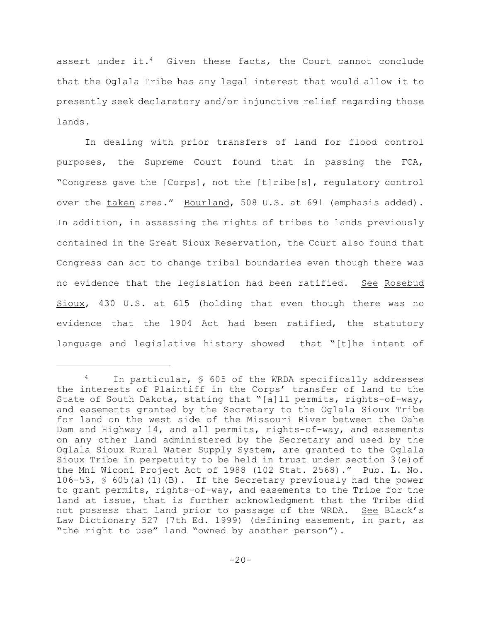assert under it.<sup>4</sup> Given these facts, the Court cannot conclude that the Oglala Tribe has any legal interest that would allow it to presently seek declaratory and/or injunctive relief regarding those lands.

In dealing with prior transfers of land for flood control purposes, the Supreme Court found that in passing the FCA, "Congress gave the [Corps], not the [t]ribe[s], regulatory control over the taken area." Bourland, 508 U.S. at 691 (emphasis added). In addition, in assessing the rights of tribes to lands previously contained in the Great Sioux Reservation, the Court also found that Congress can act to change tribal boundaries even though there was no evidence that the legislation had been ratified. See Rosebud Sioux, 430 U.S. at 615 (holding that even though there was no evidence that the 1904 Act had been ratified, the statutory language and legislative history showed that "[t]he intent of

In particular, \$ 605 of the WRDA specifically addresses the interests of Plaintiff in the Corps' transfer of land to the State of South Dakota, stating that "[a]ll permits, rights-of-way, and easements granted by the Secretary to the Oglala Sioux Tribe for land on the west side of the Missouri River between the Oahe Dam and Highway 14, and all permits, rights-of-way, and easements on any other land administered by the Secretary and used by the Oglala Sioux Rural Water Supply System, are granted to the Oglala Sioux Tribe in perpetuity to be held in trust under section 3(e)of the Mni Wiconi Project Act of 1988 (102 Stat. 2568)." Pub. L. No. 106-53, § 605(a)(1)(B). If the Secretary previously had the power to grant permits, rights-of-way, and easements to the Tribe for the land at issue, that is further acknowledgment that the Tribe did not possess that land prior to passage of the WRDA. See Black's Law Dictionary 527 (7th Ed. 1999) (defining easement, in part, as "the right to use" land "owned by another person").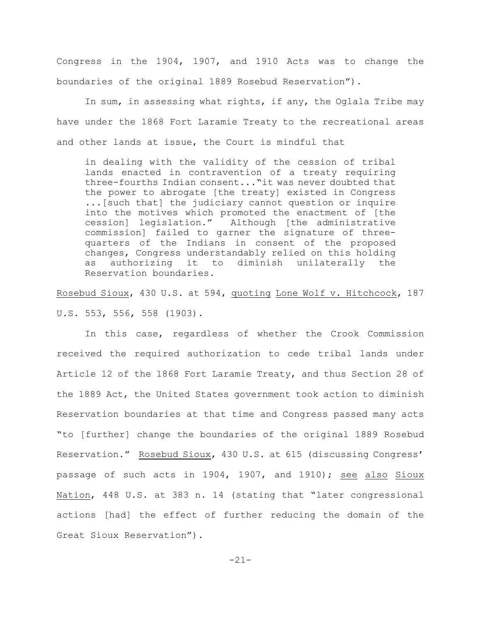Congress in the 1904, 1907, and 1910 Acts was to change the boundaries of the original 1889 Rosebud Reservation").

In sum, in assessing what rights, if any, the Oglala Tribe may have under the 1868 Fort Laramie Treaty to the recreational areas and other lands at issue, the Court is mindful that

in dealing with the validity of the cession of tribal lands enacted in contravention of a treaty requiring three-fourths Indian consent..."it was never doubted that the power to abrogate [the treaty] existed in Congress ...[such that] the judiciary cannot question or inquire into the motives which promoted the enactment of [the cession] legislation." Although [the administrative commission] failed to garner the signature of threequarters of the Indians in consent of the proposed changes, Congress understandably relied on this holding as authorizing it to diminish unilaterally the Reservation boundaries.

Rosebud Sioux, 430 U.S. at 594, quoting Lone Wolf v. Hitchcock, 187 U.S. 553, 556, 558 (1903).

In this case, regardless of whether the Crook Commission received the required authorization to cede tribal lands under Article 12 of the 1868 Fort Laramie Treaty, and thus Section 28 of the 1889 Act, the United States government took action to diminish Reservation boundaries at that time and Congress passed many acts "to [further] change the boundaries of the original 1889 Rosebud Reservation." Rosebud Sioux, 430 U.S. at 615 (discussing Congress' passage of such acts in 1904, 1907, and 1910); see also Sioux Nation, 448 U.S. at 383 n. 14 (stating that "later congressional actions [had] the effect of further reducing the domain of the Great Sioux Reservation").

-21-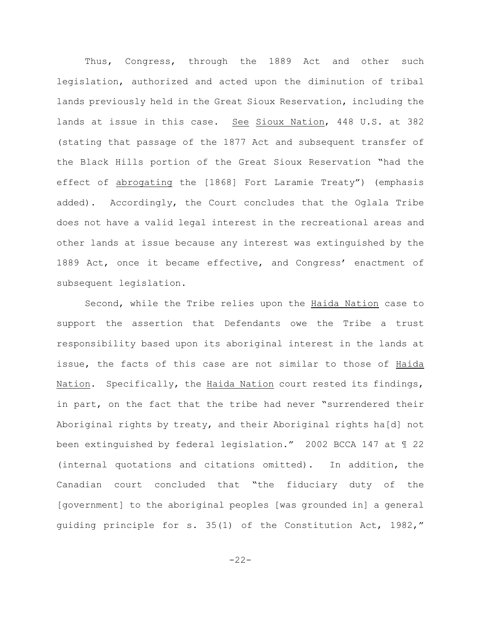Thus, Congress, through the 1889 Act and other such legislation, authorized and acted upon the diminution of tribal lands previously held in the Great Sioux Reservation, including the lands at issue in this case. See Sioux Nation, 448 U.S. at 382 (stating that passage of the 1877 Act and subsequent transfer of the Black Hills portion of the Great Sioux Reservation "had the effect of abrogating the [1868] Fort Laramie Treaty") (emphasis added). Accordingly, the Court concludes that the Oglala Tribe does not have a valid legal interest in the recreational areas and other lands at issue because any interest was extinguished by the 1889 Act, once it became effective, and Congress' enactment of subsequent legislation.

Second, while the Tribe relies upon the Haida Nation case to support the assertion that Defendants owe the Tribe a trust responsibility based upon its aboriginal interest in the lands at issue, the facts of this case are not similar to those of Haida Nation. Specifically, the Haida Nation court rested its findings, in part, on the fact that the tribe had never "surrendered their Aboriginal rights by treaty, and their Aboriginal rights ha[d] not been extinguished by federal legislation." 2002 BCCA 147 at ¶ 22 (internal quotations and citations omitted). In addition, the Canadian court concluded that "the fiduciary duty of the [government] to the aboriginal peoples [was grounded in] a general guiding principle for s. 35(1) of the Constitution Act, 1982,"

 $-22-$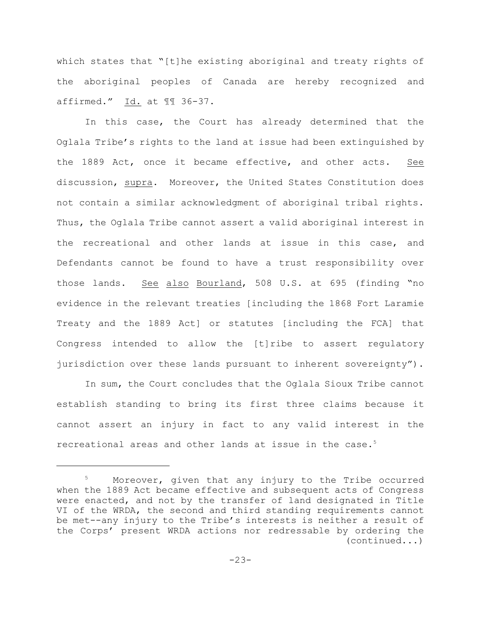which states that "[t]he existing aboriginal and treaty rights of the aboriginal peoples of Canada are hereby recognized and affirmed." Id. at ¶¶ 36-37.

In this case, the Court has already determined that the Oglala Tribe's rights to the land at issue had been extinguished by the 1889 Act, once it became effective, and other acts. See discussion, supra. Moreover, the United States Constitution does not contain a similar acknowledgment of aboriginal tribal rights. Thus, the Oglala Tribe cannot assert a valid aboriginal interest in the recreational and other lands at issue in this case, and Defendants cannot be found to have a trust responsibility over those lands. See also Bourland, 508 U.S. at 695 (finding "no evidence in the relevant treaties [including the 1868 Fort Laramie Treaty and the 1889 Act] or statutes [including the FCA] that Congress intended to allow the [t]ribe to assert regulatory jurisdiction over these lands pursuant to inherent sovereignty").

In sum, the Court concludes that the Oglala Sioux Tribe cannot establish standing to bring its first three claims because it cannot assert an injury in fact to any valid interest in the recreational areas and other lands at issue in the case.<sup>5</sup>

 $5$  Moreover, given that any injury to the Tribe occurred when the 1889 Act became effective and subsequent acts of Congress were enacted, and not by the transfer of land designated in Title VI of the WRDA, the second and third standing requirements cannot be met--any injury to the Tribe's interests is neither a result of the Corps' present WRDA actions nor redressable by ordering the (continued...)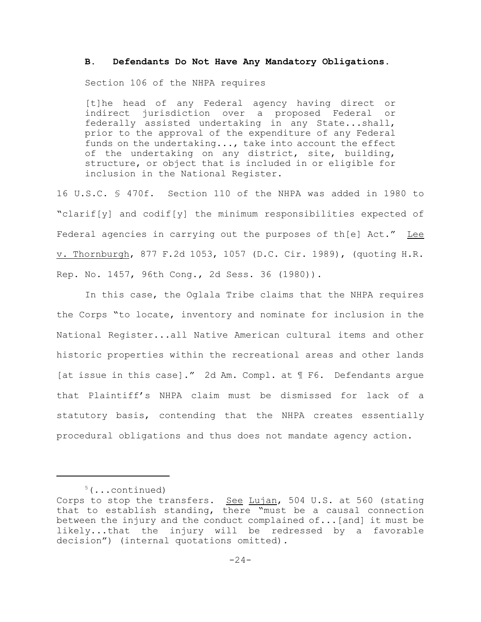### **B. Defendants Do Not Have Any Mandatory Obligations.**

Section 106 of the NHPA requires

[t]he head of any Federal agency having direct or indirect jurisdiction over a proposed Federal or federally assisted undertaking in any State...shall, prior to the approval of the expenditure of any Federal funds on the undertaking..., take into account the effect of the undertaking on any district, site, building, structure, or object that is included in or eligible for inclusion in the National Register.

16 U.S.C. § 470f. Section 110 of the NHPA was added in 1980 to "clarif[y] and codif[y] the minimum responsibilities expected of Federal agencies in carrying out the purposes of th[e] Act." Lee v. Thornburgh, 877 F.2d 1053, 1057 (D.C. Cir. 1989), (quoting H.R. Rep. No. 1457, 96th Cong., 2d Sess. 36 (1980)).

In this case, the Oglala Tribe claims that the NHPA requires the Corps "to locate, inventory and nominate for inclusion in the National Register...all Native American cultural items and other historic properties within the recreational areas and other lands [at issue in this case]." 2d Am. Compl. at ¶ F6. Defendants argue that Plaintiff's NHPA claim must be dismissed for lack of a statutory basis, contending that the NHPA creates essentially procedural obligations and thus does not mandate agency action.

 $5(\ldots$ continued)

Corps to stop the transfers. See Lujan, 504 U.S. at 560 (stating that to establish standing, there "must be a causal connection between the injury and the conduct complained  $of...$  [and] it must be likely...that the injury will be redressed by a favorable decision") (internal quotations omitted).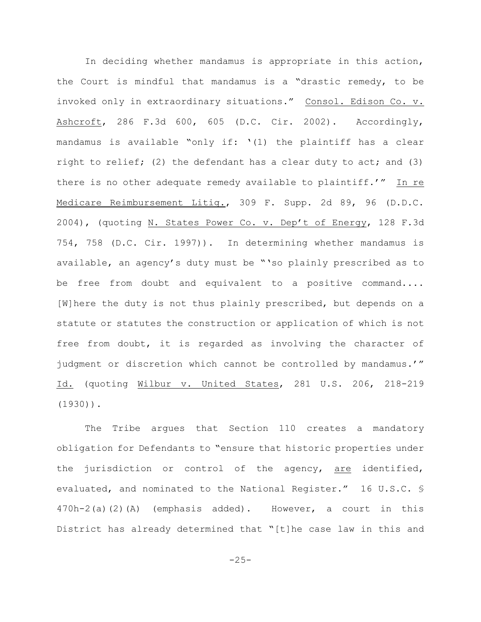In deciding whether mandamus is appropriate in this action, the Court is mindful that mandamus is a "drastic remedy, to be invoked only in extraordinary situations." Consol. Edison Co. v. Ashcroft, 286 F.3d 600, 605 (D.C. Cir. 2002). Accordingly, mandamus is available "only if: '(1) the plaintiff has a clear right to relief; (2) the defendant has a clear duty to act; and  $(3)$ there is no other adequate remedy available to plaintiff.'" In re Medicare Reimbursement Litig., 309 F. Supp. 2d 89, 96 (D.D.C. 2004), (quoting N. States Power Co. v. Dep't of Energy, 128 F.3d 754, 758 (D.C. Cir. 1997)). In determining whether mandamus is available, an agency's duty must be "'so plainly prescribed as to be free from doubt and equivalent to a positive command.... [W]here the duty is not thus plainly prescribed, but depends on a statute or statutes the construction or application of which is not free from doubt, it is regarded as involving the character of judgment or discretion which cannot be controlled by mandamus.'" Id. (quoting Wilbur v. United States, 281 U.S. 206, 218-219 (1930)).

The Tribe argues that Section 110 creates a mandatory obligation for Defendants to "ensure that historic properties under the jurisdiction or control of the agency, are identified, evaluated, and nominated to the National Register." 16 U.S.C. § 470h-2(a)(2)(A) (emphasis added). However, a court in this District has already determined that "[t]he case law in this and

 $-25-$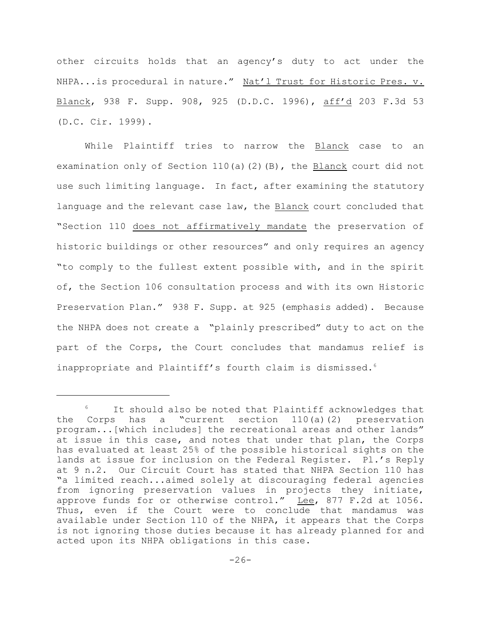other circuits holds that an agency's duty to act under the NHPA...is procedural in nature." Nat'l Trust for Historic Pres. v. Blanck, 938 F. Supp. 908, 925 (D.D.C. 1996), aff'd 203 F.3d 53 (D.C. Cir. 1999).

While Plaintiff tries to narrow the Blanck case to an examination only of Section  $110(a)$  (2)(B), the Blanck court did not use such limiting language. In fact, after examining the statutory language and the relevant case law, the Blanck court concluded that "Section 110 does not affirmatively mandate the preservation of historic buildings or other resources" and only requires an agency "to comply to the fullest extent possible with, and in the spirit of, the Section 106 consultation process and with its own Historic Preservation Plan." 938 F. Supp. at 925 (emphasis added). Because the NHPA does not create a "plainly prescribed" duty to act on the part of the Corps, the Court concludes that mandamus relief is inappropriate and Plaintiff's fourth claim is dismissed.<sup>6</sup>

It should also be noted that Plaintiff acknowledges that the Corps has a "current section 110(a)(2) preservation program...[which includes] the recreational areas and other lands" at issue in this case, and notes that under that plan, the Corps has evaluated at least 25% of the possible historical sights on the lands at issue for inclusion on the Federal Register. Pl.'s Reply at 9 n.2. Our Circuit Court has stated that NHPA Section 110 has "a limited reach...aimed solely at discouraging federal agencies from ignoring preservation values in projects they initiate, approve funds for or otherwise control." Lee, 877 F.2d at 1056. Thus, even if the Court were to conclude that mandamus was available under Section 110 of the NHPA, it appears that the Corps is not ignoring those duties because it has already planned for and acted upon its NHPA obligations in this case.